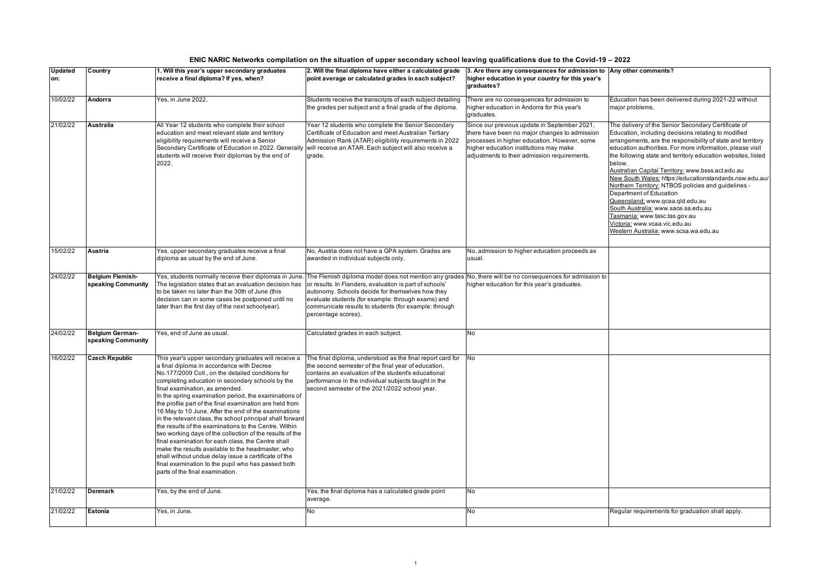| ENIC NARIC Networks compilation on the situation of upper secondary school leaving qualifications due to the Covid-19 – 2022 |  |
|------------------------------------------------------------------------------------------------------------------------------|--|
|                                                                                                                              |  |

| <b>Updated</b><br>on: | Country                                       | 1. Will this year's upper secondary graduates<br>receive a final diploma? If yes, when?                                                                                                                                                                                                                                                                                                                                                                                                                                                                                                                                                                                                                                                                                                                                                                                | 2. Will the final diploma have either a calculated grade<br>point average or calculated grades in each subject?                                                                                                                                                                                                                                               | 3. Are there any consequences for admission to Any other comments?<br>higher education in your country for this year's<br>graduates?                                                                                                    |                                                                                                                                                                                                                                                                                                                                                                                                                                                                                                                                                                                                                                                                                                         |
|-----------------------|-----------------------------------------------|------------------------------------------------------------------------------------------------------------------------------------------------------------------------------------------------------------------------------------------------------------------------------------------------------------------------------------------------------------------------------------------------------------------------------------------------------------------------------------------------------------------------------------------------------------------------------------------------------------------------------------------------------------------------------------------------------------------------------------------------------------------------------------------------------------------------------------------------------------------------|---------------------------------------------------------------------------------------------------------------------------------------------------------------------------------------------------------------------------------------------------------------------------------------------------------------------------------------------------------------|-----------------------------------------------------------------------------------------------------------------------------------------------------------------------------------------------------------------------------------------|---------------------------------------------------------------------------------------------------------------------------------------------------------------------------------------------------------------------------------------------------------------------------------------------------------------------------------------------------------------------------------------------------------------------------------------------------------------------------------------------------------------------------------------------------------------------------------------------------------------------------------------------------------------------------------------------------------|
| 10/02/22              | Andorra                                       | Yes, in June 2022.                                                                                                                                                                                                                                                                                                                                                                                                                                                                                                                                                                                                                                                                                                                                                                                                                                                     | Students receive the transcripts of each subject detailing<br>the grades per subject and a final grade of the diploma.                                                                                                                                                                                                                                        | There are no consequences for admission to<br>higher education in Andorra for this year's<br>graduates.                                                                                                                                 | Education has been delivered during 2021-22 without<br>major problems.                                                                                                                                                                                                                                                                                                                                                                                                                                                                                                                                                                                                                                  |
| 21/02/22              | <b>Australia</b>                              | All Year 12 students who complete their school<br>education and meet relevant state and territory<br>eligibility requirements will receive a Senior<br>Secondary Certificate of Education in 2022. Generally<br>students will receive their diplomas by the end of<br>2022.                                                                                                                                                                                                                                                                                                                                                                                                                                                                                                                                                                                            | Year 12 students who complete the Senior Secondary<br>Certificate of Education and meet Australian Tertiary<br>Admission Rank (ATAR) eligibility requirements in 2022<br>will receive an ATAR. Each subject will also receive a<br>grade.                                                                                                                     | Since our previous update in September 2021,<br>there have been no major changes to admission<br>processes in higher education. However, some<br>higher education institutions may make<br>adjustments to their admission requirements. | The delivery of the Senior Secondary Certificate of<br>Education, including decisions relating to modified<br>arrangements, are the responsibility of state and territory<br>education authorities. For more information, please visit<br>the following state and territory education websites, listed<br>below.<br>Australian Capital Territory: www.bsss.act.edu.au<br>New South Wales: https://educationstandards.nsw.edu.au/<br>Northern Territory: NTBOS policies and guidelines -<br>Department of Education<br>Queensland: www.qcaa.qld.edu.au<br>South Australia: www.sace.sa.edu.au<br>Tasmania: www.tasc.tas.gov.au<br>Victoria: www.vcaa.vic.edu.au<br>Western Australia: www.scsa.wa.edu.au |
| 15/02/22              | Austria                                       | Yes, upper secondary graduates receive a final<br>diploma as usual by the end of June.                                                                                                                                                                                                                                                                                                                                                                                                                                                                                                                                                                                                                                                                                                                                                                                 | No, Austria does not have a GPA system. Grades are<br>awarded in individual subjects only.                                                                                                                                                                                                                                                                    | No, admission to higher education proceeds as<br>usual.                                                                                                                                                                                 |                                                                                                                                                                                                                                                                                                                                                                                                                                                                                                                                                                                                                                                                                                         |
| 24/02/22              | <b>Belgium Flemish-</b><br>speaking Community | Yes, students normally receive their diplomas in June<br>The legislation states that an evaluation decision has<br>to be taken no later than the 30th of June (this<br>decision can in some cases be postponed until no<br>later than the first day of the next schoolyear).                                                                                                                                                                                                                                                                                                                                                                                                                                                                                                                                                                                           | The Flemish diploma model does not mention any grades No, there will be no consequences for admission to<br>or results. In Flanders, evaluation is part of schools'<br>autonomy. Schools decide for themselves how they<br>evaluate students (for example: through exams) and<br>communicate results to students (for example: through<br>percentage scores). | higher education for this year's graduates.                                                                                                                                                                                             |                                                                                                                                                                                                                                                                                                                                                                                                                                                                                                                                                                                                                                                                                                         |
| 24/02/22              | Belgium German-<br>speaking Community         | Yes, end of June as usual.                                                                                                                                                                                                                                                                                                                                                                                                                                                                                                                                                                                                                                                                                                                                                                                                                                             | Calculated grades in each subject.                                                                                                                                                                                                                                                                                                                            | No                                                                                                                                                                                                                                      |                                                                                                                                                                                                                                                                                                                                                                                                                                                                                                                                                                                                                                                                                                         |
| 16/02/22              | <b>Czech Republic</b>                         | This year's upper secondary graduates will receive a<br>a final diploma in accordance with Decree<br>No.177/2009 Coll., on the detailed conditions for<br>completing education in secondary schools by the<br>final examination, as amended.<br>In the spring examination period, the examinations of<br>the profile part of the final examination are held from<br>16 May to 10 June. After the end of the examinations<br>in the relevant class, the school principal shall forward<br>the results of the examinations to the Centre. Within<br>two working days of the collection of the results of the<br>final examination for each class, the Centre shall<br>make the results available to the headmaster, who<br>shall without undue delay issue a certificate of the<br>final examination to the pupil who has passed both<br>parts of the final examination. | The final diploma, understood as the final report card for<br>the second semester of the final year of education,<br>contains an evaluation of the student's educational<br>performance in the individual subjects taught in the<br>second semester of the 2021/2022 school year.                                                                             | No                                                                                                                                                                                                                                      |                                                                                                                                                                                                                                                                                                                                                                                                                                                                                                                                                                                                                                                                                                         |
| 21/02/22              | <b>Denmark</b>                                | Yes, by the end of June.                                                                                                                                                                                                                                                                                                                                                                                                                                                                                                                                                                                                                                                                                                                                                                                                                                               | Yes, the final diploma has a calculated grade point<br>average.                                                                                                                                                                                                                                                                                               | No                                                                                                                                                                                                                                      |                                                                                                                                                                                                                                                                                                                                                                                                                                                                                                                                                                                                                                                                                                         |
| 21/02/22              | Estonia                                       | Yes, in June.                                                                                                                                                                                                                                                                                                                                                                                                                                                                                                                                                                                                                                                                                                                                                                                                                                                          | No                                                                                                                                                                                                                                                                                                                                                            | No                                                                                                                                                                                                                                      | Regular requirements for graduation shall apply.                                                                                                                                                                                                                                                                                                                                                                                                                                                                                                                                                                                                                                                        |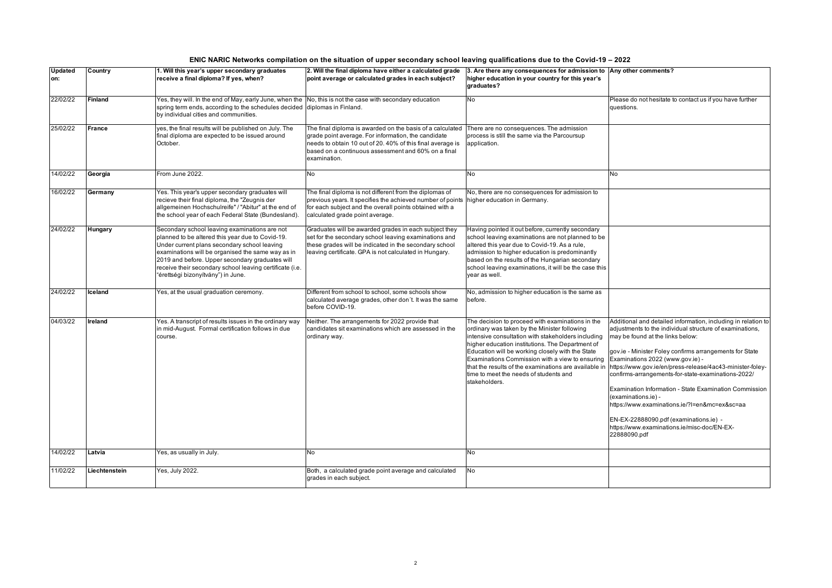| <b>Updated</b><br>on: | Country        | 1. Will this year's upper secondary graduates<br>receive a final diploma? If yes, when?                                                                                                                                                                                                                                                                     | 2. Will the final diploma have either a calculated grade<br>point average or calculated grades in each subject?                                                                                                                                       | 3. Are there any consequences for admission to Any other comments?<br>higher education in your country for this year's<br>graduates?                                                                                                                                                                                                                                                                                                  |                                                                                                                                                                                                                                                                                                                                                                                                                                                                                                                                                                                                                          |
|-----------------------|----------------|-------------------------------------------------------------------------------------------------------------------------------------------------------------------------------------------------------------------------------------------------------------------------------------------------------------------------------------------------------------|-------------------------------------------------------------------------------------------------------------------------------------------------------------------------------------------------------------------------------------------------------|---------------------------------------------------------------------------------------------------------------------------------------------------------------------------------------------------------------------------------------------------------------------------------------------------------------------------------------------------------------------------------------------------------------------------------------|--------------------------------------------------------------------------------------------------------------------------------------------------------------------------------------------------------------------------------------------------------------------------------------------------------------------------------------------------------------------------------------------------------------------------------------------------------------------------------------------------------------------------------------------------------------------------------------------------------------------------|
| 22/02/22              | <b>Finland</b> | Yes, they will. In the end of May, early June, when the No, this is not the case with secondary education<br>spring term ends, according to the schedules decided diplomas in Finland.<br>by individual cities and communities.                                                                                                                             |                                                                                                                                                                                                                                                       | No                                                                                                                                                                                                                                                                                                                                                                                                                                    | Please do not hesitate to contact us if you have further<br>questions.                                                                                                                                                                                                                                                                                                                                                                                                                                                                                                                                                   |
| 25/02/22              | France         | yes, the final results will be published on July. The<br>final diploma are expected to be issued around<br>October.                                                                                                                                                                                                                                         | The final diploma is awarded on the basis of a calculated<br>grade point average. For information, the candidate<br>needs to obtain 10 out of 20. 40% of this final average is<br>based on a continuous assessment and 60% on a final<br>examination. | There are no consequences. The admission<br>process is still the same via the Parcoursup<br>application.                                                                                                                                                                                                                                                                                                                              |                                                                                                                                                                                                                                                                                                                                                                                                                                                                                                                                                                                                                          |
| 14/02/22              | Georgia        | From June 2022.                                                                                                                                                                                                                                                                                                                                             | <b>No</b>                                                                                                                                                                                                                                             | <b>No</b>                                                                                                                                                                                                                                                                                                                                                                                                                             | No                                                                                                                                                                                                                                                                                                                                                                                                                                                                                                                                                                                                                       |
| 16/02/22              | Germany        | Yes. This year's upper secondary graduates will<br>recieve their final diploma, the "Zeugnis der<br>allgemeinen Hochschulreife" / "Abitur" at the end of<br>the school year of each Federal State (Bundesland).                                                                                                                                             | The final diploma is not different from the diplomas of<br>previous years. It specifies the achieved number of points higher education in Germany.<br>for each subject and the overall points obtained with a<br>calculated grade point average.      | No, there are no consequences for admission to                                                                                                                                                                                                                                                                                                                                                                                        |                                                                                                                                                                                                                                                                                                                                                                                                                                                                                                                                                                                                                          |
| 24/02/22              | Hungary        | Secondary school leaving examinations are not<br>planned to be altered this year due to Covid-19.<br>Under current plans secondary school leaving<br>examinations will be organised the same way as in<br>2019 and before. Upper secondary graduates will<br>receive their secondary school leaving certificate (i.e.<br>"érettségi bizonyítvány") in June. | Graduates will be awarded grades in each subject they<br>set for the secondary school leaving examinations and<br>these grades will be indicated in the secondary school<br>leaving certificate. GPA is not calculated in Hungary.                    | Having pointed it out before, currently secondary<br>school leaving examinations are not planned to be<br>altered this year due to Covid-19. As a rule,<br>admission to higher education is predominantly<br>based on the results of the Hungarian secondary<br>school leaving examinations, it will be the case this<br>year as well.                                                                                                |                                                                                                                                                                                                                                                                                                                                                                                                                                                                                                                                                                                                                          |
| 24/02/22              | <b>Iceland</b> | Yes, at the usual graduation ceremony.                                                                                                                                                                                                                                                                                                                      | Different from school to school, some schools show<br>calculated average grades, other don't. It was the same<br>before COVID-19.                                                                                                                     | No, admission to higher education is the same as<br>before.                                                                                                                                                                                                                                                                                                                                                                           |                                                                                                                                                                                                                                                                                                                                                                                                                                                                                                                                                                                                                          |
| 04/03/22              | Ireland        | Yes. A transcript of results issues in the ordinary way<br>in mid-August. Formal certification follows in due<br>course.                                                                                                                                                                                                                                    | Neither. The arrangements for 2022 provide that<br>candidates sit examinations which are assessed in the<br>ordinary way.                                                                                                                             | The decision to proceed with examinations in the<br>ordinary was taken by the Minister following<br>intensive consultation with stakeholders including<br>higher education institutions. The Department of<br>Education will be working closely with the State<br>Examinations Commission with a view to ensuring<br>that the results of the examinations are available in<br>time to meet the needs of students and<br>stakeholders. | Additional and detailed information, including in relation to<br>adjustments to the individual structure of examinations,<br>may be found at the links below:<br>gov.ie - Minister Foley confirms arrangements for State<br>Examinations 2022 (www.gov.ie) -<br>https://www.gov.ie/en/press-release/4ac43-minister-foley-<br>confirms-arrangements-for-state-examinations-2022/<br>Examination Information - State Examination Commission<br>(examinations.ie) -<br>https://www.examinations.ie/?I=en&mc=ex≻=aa<br>EN-EX-22888090.pdf (examinations.ie) -<br>https://www.examinations.ie/misc-doc/EN-EX-<br>22888090.pdf |
| 14/02/22              | Latvia         | Yes, as usually in July.                                                                                                                                                                                                                                                                                                                                    | <b>No</b>                                                                                                                                                                                                                                             | No                                                                                                                                                                                                                                                                                                                                                                                                                                    |                                                                                                                                                                                                                                                                                                                                                                                                                                                                                                                                                                                                                          |
| 11/02/22              | Liechtenstein  | Yes, July 2022.                                                                                                                                                                                                                                                                                                                                             | Both, a calculated grade point average and calculated<br>grades in each subject.                                                                                                                                                                      | No                                                                                                                                                                                                                                                                                                                                                                                                                                    |                                                                                                                                                                                                                                                                                                                                                                                                                                                                                                                                                                                                                          |

## **ENIC NARIC Networks compilation on the situation of upper secondary school leaving qualifications due to the Covid-19 – 2022**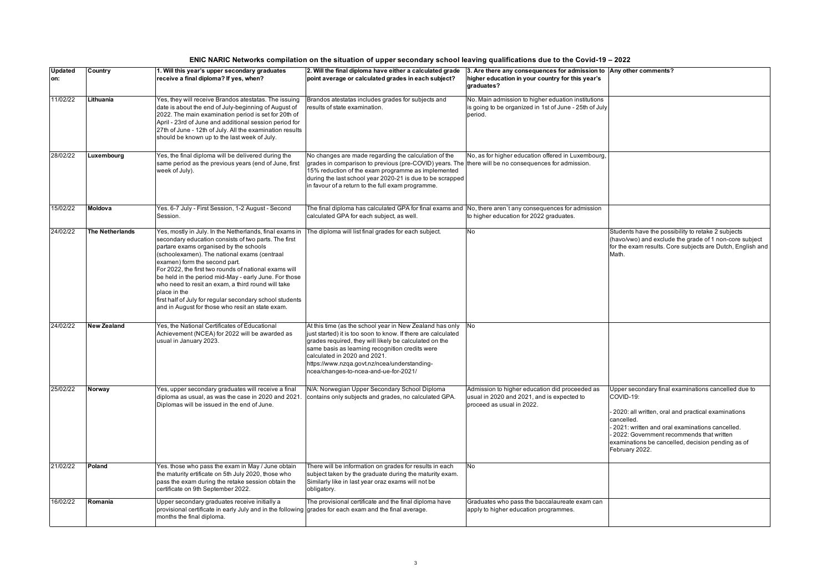| ENIC NARIC Networks compilation on the situation of upper secondary school leaving qualifications due to the Covid-19 – 2022 |
|------------------------------------------------------------------------------------------------------------------------------|
|------------------------------------------------------------------------------------------------------------------------------|

| <b>Updated</b><br>on: | Country                | 1. Will this year's upper secondary graduates<br>receive a final diploma? If yes, when?                                                                                                                                                                                                                                                                                                                                                                                                                                                            | 2. Will the final diploma have either a calculated grade<br>point average or calculated grades in each subject?                                                                                                                                                                                                                                                 | 3. Are there any consequences for admission to Any other comments?<br>higher education in your country for this year's<br>graduates? |                                                                                                                                                                                                                                                                                                           |
|-----------------------|------------------------|----------------------------------------------------------------------------------------------------------------------------------------------------------------------------------------------------------------------------------------------------------------------------------------------------------------------------------------------------------------------------------------------------------------------------------------------------------------------------------------------------------------------------------------------------|-----------------------------------------------------------------------------------------------------------------------------------------------------------------------------------------------------------------------------------------------------------------------------------------------------------------------------------------------------------------|--------------------------------------------------------------------------------------------------------------------------------------|-----------------------------------------------------------------------------------------------------------------------------------------------------------------------------------------------------------------------------------------------------------------------------------------------------------|
| 11/02/22              | Lithuania              | Yes, they will receive Brandos atestatas. The issuing<br>date is about the end of July-beginning of August of<br>2022. The main examination period is set for 20th of<br>April - 23rd of June and additional session period for<br>27th of June - 12th of July. All the examination results<br>should be known up to the last week of July.                                                                                                                                                                                                        | Brandos atestatas includes grades for subjects and<br>results of state examination.                                                                                                                                                                                                                                                                             | No. Main admission to higher eduation institutions<br>is going to be organized in 1st of June - 25th of July<br>period.              |                                                                                                                                                                                                                                                                                                           |
| 28/02/22              | Luxembourg             | Yes, the final diploma will be delivered during the<br>same period as the previous years (end of June, first<br>week of July).                                                                                                                                                                                                                                                                                                                                                                                                                     | No changes are made regarding the calculation of the<br>grades in comparison to previous (pre-COVID) years. The<br>15% reduction of the exam programme as implemented<br>during the last school year 2020-21 is due to be scrapped<br>in favour of a return to the full exam programme.                                                                         | No, as for higher education offered in Luxembourg,<br>there will be no consequences for admission.                                   |                                                                                                                                                                                                                                                                                                           |
| 15/02/22              | Moldova                | Yes. 6-7 July - First Session, 1-2 August - Second<br>Session.                                                                                                                                                                                                                                                                                                                                                                                                                                                                                     | The final diploma has calculated GPA for final exams and<br>calculated GPA for each subject, as well.                                                                                                                                                                                                                                                           | No, there aren't any consequences for admission<br>to higher education for 2022 graduates.                                           |                                                                                                                                                                                                                                                                                                           |
| 24/02/22              | <b>The Netherlands</b> | Yes, mostly in July. In the Netherlands, final exams in<br>secondary education consists of two parts. The first<br>partare exams organised by the schools<br>(schoolexamen). The national exams (centraal<br>examen) form the second part.<br>For 2022, the first two rounds of national exams will<br>be held in the period mid-May - early June. For those<br>who need to resit an exam, a third round will take<br>place in the<br>first half of July for regular secondary school students<br>and in August for those who resit an state exam. | The diploma will list final grades for each subject.                                                                                                                                                                                                                                                                                                            | No                                                                                                                                   | Students have the possibility to retake 2 subjects<br>(havo/vwo) and exclude the grade of 1 non-core subject<br>for the exam results. Core subjects are Dutch, English and<br>Math.                                                                                                                       |
| 24/02/22              | <b>New Zealand</b>     | Yes, the National Certificates of Educational<br>Achievement (NCEA) for 2022 will be awarded as<br>usual in January 2023.                                                                                                                                                                                                                                                                                                                                                                                                                          | At this time (as the school year in New Zealand has only<br>just started) it is too soon to know. If there are calculated<br>grades required, they will likely be calculated on the<br>same basis as learning recognition credits were<br>calculated in 2020 and 2021.<br>https://www.nzqa.govt.nz/ncea/understanding-<br>ncea/changes-to-ncea-and-ue-for-2021/ | No                                                                                                                                   |                                                                                                                                                                                                                                                                                                           |
| 25/02/22              | Norway                 | Yes, upper secondary graduates will receive a final<br>diploma as usual, as was the case in 2020 and 2021<br>Diplomas will be issued in the end of June.                                                                                                                                                                                                                                                                                                                                                                                           | N/A: Norwegian Upper Secondary School Diploma<br>contains only subjects and grades, no calculated GPA.                                                                                                                                                                                                                                                          | Admission to higher education did proceeded as<br>usual in 2020 and 2021, and is expected to<br>proceed as usual in 2022.            | Jpper secondary final examinations cancelled due to<br>COVID-19:<br>2020: all written, oral and practical examinations<br>cancelled.<br>2021: written and oral examinations cancelled.<br>2022: Government recommends that written<br>examinations be cancelled, decision pending as of<br>February 2022. |
| 21/02/22              | Poland                 | Yes. those who pass the exam in May / June obtain<br>the maturity ertificate on 5th July 2020, those who<br>pass the exam during the retake session obtain the<br>certificate on 9th September 2022.                                                                                                                                                                                                                                                                                                                                               | There will be information on grades for results in each<br>subject taken by the graduate during the maturity exam.<br>Similarly like in last year oraz exams will not be<br>obligatory.                                                                                                                                                                         | No                                                                                                                                   |                                                                                                                                                                                                                                                                                                           |
| 16/02/22              | Romania                | Upper secondary graduates receive initially a<br>provisional certificate in early July and in the following grades for each exam and the final average.<br>months the final diploma.                                                                                                                                                                                                                                                                                                                                                               | The provisional certificate and the final diploma have                                                                                                                                                                                                                                                                                                          | Graduates who pass the baccalaureate exam can<br>apply to higher education programmes.                                               |                                                                                                                                                                                                                                                                                                           |